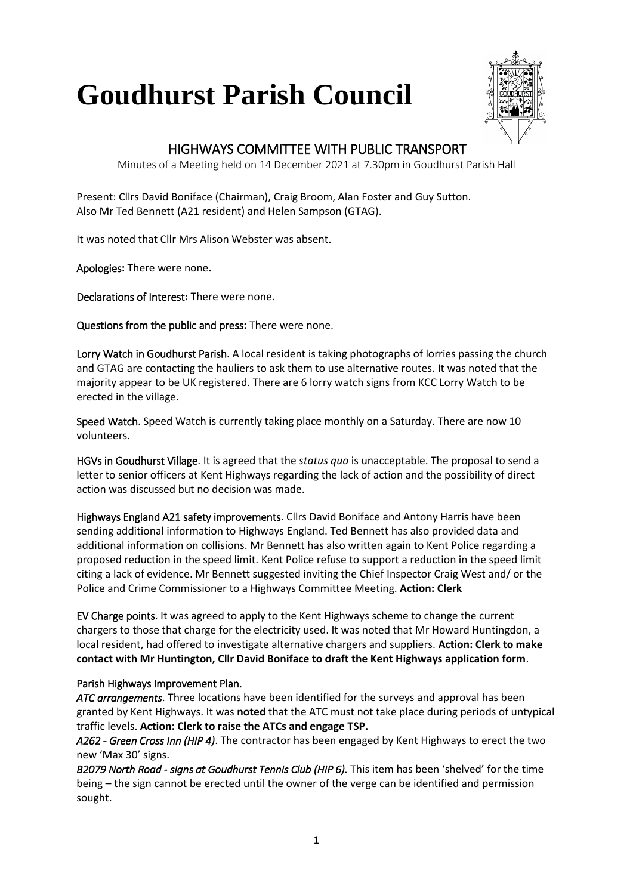## **Goudhurst Parish Council**



## HIGHWAYS COMMITTEE WITH PUBLIC TRANSPORT

Minutes of a Meeting held on 14 December 2021 at 7.30pm in Goudhurst Parish Hall

Present: Cllrs David Boniface (Chairman), Craig Broom, Alan Foster and Guy Sutton. Also Mr Ted Bennett (A21 resident) and Helen Sampson (GTAG).

It was noted that Cllr Mrs Alison Webster was absent.

Apologies**:** There were none**.**

Declarations of Interest**:** There were none.

Questions from the public and press**:** There were none.

Lorry Watch in Goudhurst Parish. A local resident is taking photographs of lorries passing the church and GTAG are contacting the hauliers to ask them to use alternative routes. It was noted that the majority appear to be UK registered. There are 6 lorry watch signs from KCC Lorry Watch to be erected in the village.

Speed Watch. Speed Watch is currently taking place monthly on a Saturday. There are now 10 volunteers.

HGVs in Goudhurst Village. It is agreed that the *status quo* is unacceptable. The proposal to send a letter to senior officers at Kent Highways regarding the lack of action and the possibility of direct action was discussed but no decision was made.

Highways England A21 safety improvements. Cllrs David Boniface and Antony Harris have been sending additional information to Highways England. Ted Bennett has also provided data and additional information on collisions. Mr Bennett has also written again to Kent Police regarding a proposed reduction in the speed limit. Kent Police refuse to support a reduction in the speed limit citing a lack of evidence. Mr Bennett suggested inviting the Chief Inspector Craig West and/ or the Police and Crime Commissioner to a Highways Committee Meeting. **Action: Clerk**

EV Charge points. It was agreed to apply to the Kent Highways scheme to change the current chargers to those that charge for the electricity used. It was noted that Mr Howard Huntingdon, a local resident, had offered to investigate alternative chargers and suppliers. **Action: Clerk to make contact with Mr Huntington, Cllr David Boniface to draft the Kent Highways application form**.

## Parish Highways Improvement Plan.

*ATC arrangements*. Three locations have been identified for the surveys and approval has been granted by Kent Highways. It was **noted** that the ATC must not take place during periods of untypical traffic levels. **Action: Clerk to raise the ATCs and engage TSP.**

*A262 - Green Cross Inn (HIP 4)*. The contractor has been engaged by Kent Highways to erect the two new 'Max 30' signs.

*B2079 North Road - signs at Goudhurst Tennis Club (HIP 6).* This item has been 'shelved' for the time being – the sign cannot be erected until the owner of the verge can be identified and permission sought.